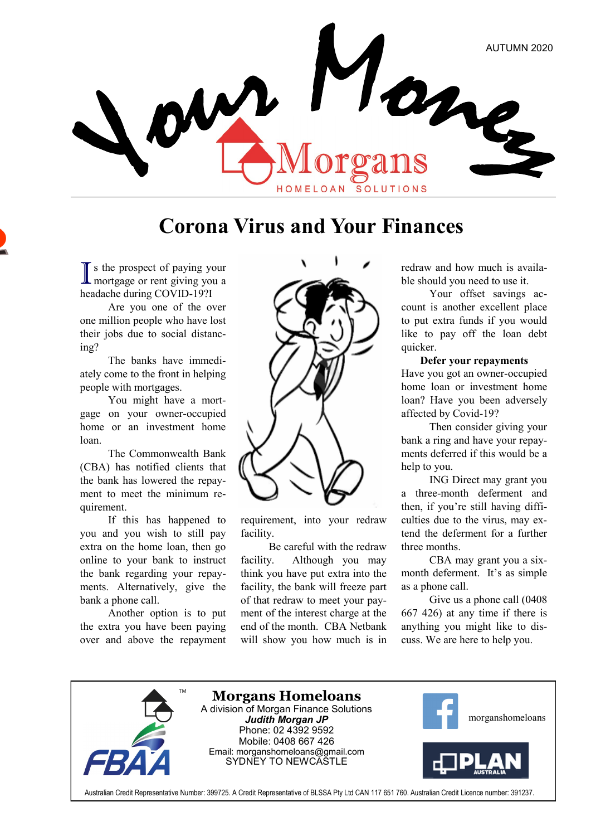

### **Corona Virus and Your Finances**

I s the prospect of paying your<br>mortgage or rent giving you a s the prospect of paying your headache during COVID-19?I

Are you one of the over one million people who have lost their jobs due to social distancing?

The banks have immediately come to the front in helping people with mortgages.

You might have a mortgage on your owner-occupied home or an investment home loan.

The Commonwealth Bank (CBA) has notified clients that the bank has lowered the repayment to meet the minimum requirement.

If this has happened to you and you wish to still pay extra on the home loan, then go online to your bank to instruct the bank regarding your repayments. Alternatively, give the bank a phone call.

Another option is to put the extra you have been paying over and above the repayment



requirement, into your redraw facility.

Be careful with the redraw facility. Although you may think you have put extra into the facility, the bank will freeze part of that redraw to meet your payment of the interest charge at the end of the month. CBA Netbank will show you how much is in redraw and how much is available should you need to use it.

Your offset savings account is another excellent place to put extra funds if you would like to pay off the loan debt quicker.

#### **Defer your repayments**

Have you got an owner-occupied home loan or investment home loan? Have you been adversely affected by Covid-19?

Then consider giving your bank a ring and have your repayments deferred if this would be a help to you.

ING Direct may grant you a three-month deferment and then, if you're still having difficulties due to the virus, may extend the deferment for a further three months.

CBA may grant you a sixmonth deferment. It's as simple as a phone call.

Give us a phone call (0408 667 426) at any time if there is anything you might like to discuss. We are here to help you.

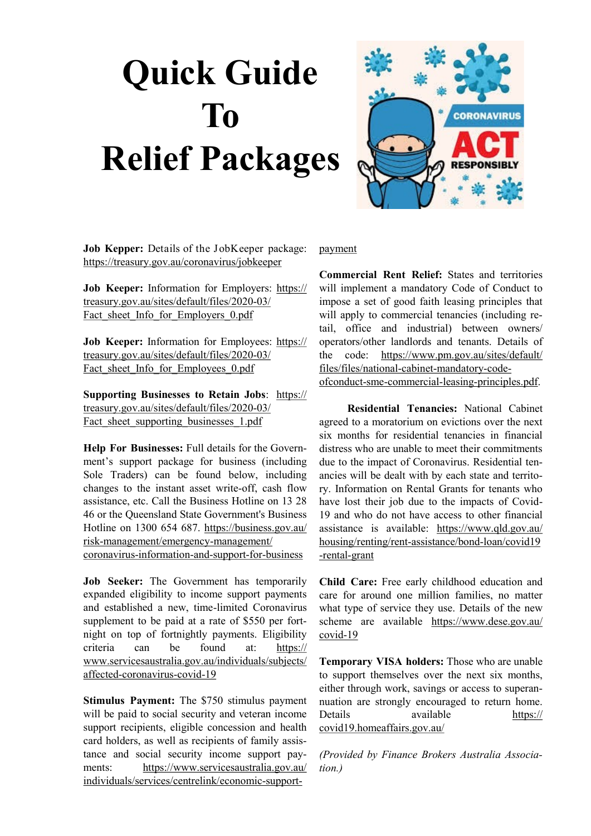# **Quick Guide To Relief Packages**



**Job Kepper:** Details of the JobKeeper package: [https://treasury.gov.au/coronavirus/jobkeeper](https://www.vision6.com.au/ch/64721/79cxw/2179623/vdRYRVW.guz3BYxpBFFk99N5u.FKVMHaXiDJqdI2.html)

**Job Keeper:** Information for Employers: [https://](https://www.vision6.com.au/ch/64721/79cxw/2179624/vdRYRVW.guz3BYxpBFFkMhIQmiu_zLOU19GWrbBj.pdf) [treasury.gov.au/sites/default/files/2020](https://www.vision6.com.au/ch/64721/79cxw/2179624/vdRYRVW.guz3BYxpBFFkMhIQmiu_zLOU19GWrbBj.pdf)-03/ Fact sheet Info for Employers 0.pdf

**Job Keeper:** Information for Employees: [https://](https://www.vision6.com.au/ch/64721/79cxw/2179625/vdRYRVW.guz3BYxpBFFkUfpgnd7GU8hp4U5918CH.pdf) [treasury.gov.au/sites/default/files/2020](https://www.vision6.com.au/ch/64721/79cxw/2179625/vdRYRVW.guz3BYxpBFFkUfpgnd7GU8hp4U5918CH.pdf)-03/ Fact sheet Info for Employees 0.pdf

**Supporting Businesses to Retain Jobs**: [https://](https://www.vision6.com.au/ch/64721/79cxw/2179626/vdRYRVW.guz3BYxpBFFkSsDL0gKQKhn_IL.SKecH.pdf) [treasury.gov.au/sites/default/files/2020](https://www.vision6.com.au/ch/64721/79cxw/2179626/vdRYRVW.guz3BYxpBFFkSsDL0gKQKhn_IL.SKecH.pdf)-03/ [Fact\\_sheet\\_supporting\\_businesses\\_1.pdf](https://www.vision6.com.au/ch/64721/79cxw/2179626/vdRYRVW.guz3BYxpBFFkSsDL0gKQKhn_IL.SKecH.pdf)

**Help For Businesses:** Full details for the Government's support package for business (including Sole Traders) can be found below, including changes to the instant asset write-off, cash flow assistance, etc. Call the Business Hotline on 13 28 46 or the Queensland State Government's Business Hotline on [1300 654 687.](tel:1300%20654%20687) [https://business.gov.au/](https://www.vision6.com.au/ch/64721/79cxw/2179627/vdRYRVW.guz3BYxpBFFkCv2kRnr1i4vOrYrZv47z.html) risk-[management/emergency](https://www.vision6.com.au/ch/64721/79cxw/2179627/vdRYRVW.guz3BYxpBFFkCv2kRnr1i4vOrYrZv47z.html)-management/ coronavirus-[information](https://www.vision6.com.au/ch/64721/79cxw/2179627/vdRYRVW.guz3BYxpBFFkCv2kRnr1i4vOrYrZv47z.html)-and-support-for-business

**Job Seeker:** The Government has temporarily expanded eligibility to income support payments and established a new, time-limited Coronavirus supplement to be paid at a rate of \$550 per fortnight on top of fortnightly payments. Eligibility criteria can be found at: [https://](https://www.vision6.com.au/ch/64721/79cxw/2179628/vdRYRVW.guz3BYxpBFFkd73mpR2imeKKCniGrKbv.html) [www.servicesaustralia.gov.au/individuals/subjects/](https://www.vision6.com.au/ch/64721/79cxw/2179628/vdRYRVW.guz3BYxpBFFkd73mpR2imeKKCniGrKbv.html) affected-[coronavirus](https://www.vision6.com.au/ch/64721/79cxw/2179628/vdRYRVW.guz3BYxpBFFkd73mpR2imeKKCniGrKbv.html)-covid-19

**Stimulus Payment:** The \$750 stimulus payment will be paid to social security and veteran income support recipients, eligible concession and health card holders, as well as recipients of family assistance and social security income support payments: [https://www.servicesaustralia.gov.au/](https://www.vision6.com.au/ch/64721/79cxw/2179629/vdRYRVW.guz3BYxpBFFkQnWSF9tOmQpFLOAh83vJ.html) [individuals/services/centrelink/economic](https://www.vision6.com.au/ch/64721/79cxw/2179629/vdRYRVW.guz3BYxpBFFkQnWSF9tOmQpFLOAh83vJ.html)-support[payment](https://www.vision6.com.au/ch/64721/79cxw/2179629/vdRYRVW.guz3BYxpBFFkQnWSF9tOmQpFLOAh83vJ.html)

**Commercial Rent Relief:** States and territories will implement a mandatory Code of Conduct to impose a set of good faith leasing principles that will apply to commercial tenancies (including retail, office and industrial) between owners/ operators/other landlords and tenants. Details of the code: [https://www.pm.gov.au/sites/default/](https://www.vision6.com.au/ch/64721/79cxw/2179630/vdRYRVW.guz3BYxpBFFksdGAk3I2NMfcCcRj2Z_P.pdf) [files/files/national](https://www.vision6.com.au/ch/64721/79cxw/2179630/vdRYRVW.guz3BYxpBFFksdGAk3I2NMfcCcRj2Z_P.pdf)-cabinet-mandatory-code-

ofconduct-sme-commercial-leasing-[principles.pdf.](https://www.vision6.com.au/ch/64721/79cxw/2179630/vdRYRVW.guz3BYxpBFFksdGAk3I2NMfcCcRj2Z_P.pdf) 

**Residential Tenancies:** National Cabinet agreed to a moratorium on evictions over the next six months for residential tenancies in financial distress who are unable to meet their commitments due to the impact of Coronavirus. Residential tenancies will be dealt with by each state and territory. Information on Rental Grants for tenants who have lost their job due to the impacts of Covid-19 and who do not have access to other financial assistance is available: [https://www.qld.gov.au/](https://www.vision6.com.au/ch/64721/79cxw/2179631/vdRYRVW.guz3BYxpBFFka5ItapWdjq5qw4XcegB1.html) [housing/renting/rent](https://www.vision6.com.au/ch/64721/79cxw/2179631/vdRYRVW.guz3BYxpBFFka5ItapWdjq5qw4XcegB1.html)-assistance/bond-loan/covid19 -[rental](https://www.vision6.com.au/ch/64721/79cxw/2179631/vdRYRVW.guz3BYxpBFFka5ItapWdjq5qw4XcegB1.html)-grant

**Child Care:** Free early childhood education and care for around one million families, no matter what type of service they use. Details of the new scheme are available [https://www.dese.gov.au/](https://www.vision6.com.au/ch/64721/79cxw/2179632/vdRYRVW.guz3BYxpBFFk8vROHNjUmILK1MU7nk64.html) [covid](https://www.vision6.com.au/ch/64721/79cxw/2179632/vdRYRVW.guz3BYxpBFFk8vROHNjUmILK1MU7nk64.html)-19

**Temporary VISA holders:** Those who are unable to support themselves over the next six months, either through work, savings or access to superannuation are strongly encouraged to return home. Details available [https://](https://www.vision6.com.au/ch/64721/79cxw/2179633/vdRYRVW.guz3BYxpBFFkqCzLnTbaLpWZFFzY33fa.html) [covid19.homeaffairs.gov.au/](https://www.vision6.com.au/ch/64721/79cxw/2179633/vdRYRVW.guz3BYxpBFFkqCzLnTbaLpWZFFzY33fa.html)

*(Provided by Finance Brokers Australia Association.)*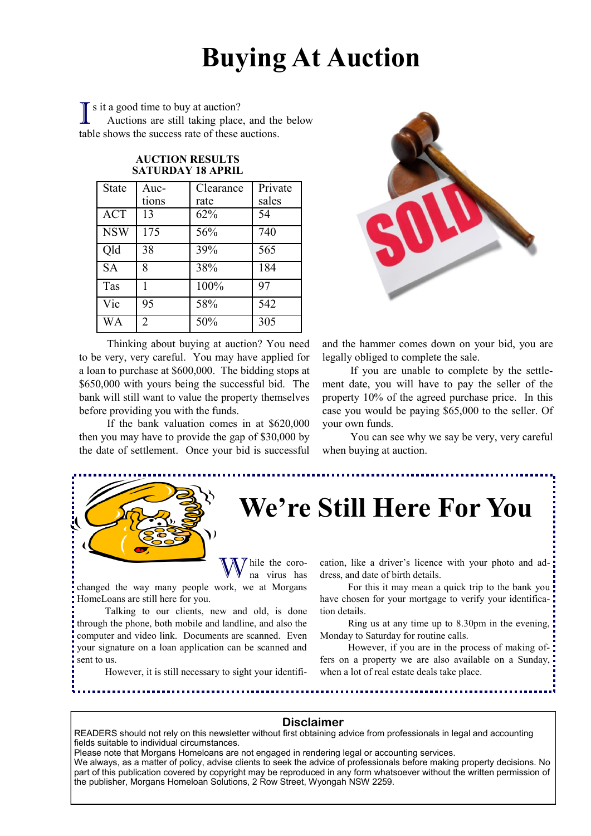## **Buying At Auction**

I s it a good time to buy at auction?<br>Auctions are still taking place Auctions are still taking place, and the below table shows the success rate of these auctions.

| State      | Auc-           | Clearance | Private |
|------------|----------------|-----------|---------|
|            | tions          | rate      | sales   |
| <b>ACT</b> | 13             | 62%       | 54      |
| <b>NSW</b> | 175            | 56%       | 740     |
| Qld        | 38             | 39%       | 565     |
| <b>SA</b>  | 8              | 38%       | 184     |
| Tas        |                | 100%      | 97      |
| Vic        | 95             | 58%       | 542     |
| WА         | $\overline{2}$ | 50%       | 305     |

#### **AUCTION RESULTS SATURDAY 18 APRIL**

Thinking about buying at auction? You need to be very, very careful. You may have applied for a loan to purchase at \$600,000. The bidding stops at \$650,000 with yours being the successful bid. The bank will still want to value the property themselves before providing you with the funds.

If the bank valuation comes in at \$620,000 then you may have to provide the gap of \$30,000 by the date of settlement. Once your bid is successful



and the hammer comes down on your bid, you are legally obliged to complete the sale.

If you are unable to complete by the settlement date, you will have to pay the seller of the property 10% of the agreed purchase price. In this case you would be paying \$65,000 to the seller. Of your own funds.

You can see why we say be very, very careful when buying at auction.



### **We're Still Here For You**

hile the corona virus has

changed the way many people work, we at Morgans HomeLoans are still here for you.

Talking to our clients, new and old, is done through the phone, both mobile and landline, and also the computer and video link. Documents are scanned. Even your signature on a loan application can be scanned and sent to us.

However, it is still necessary to sight your identifi-

cation, like a driver's licence with your photo and address, and date of birth details.

For this it may mean a quick trip to the bank you have chosen for your mortgage to verify your identification details.

Ring us at any time up to 8.30pm in the evening, Monday to Saturday for routine calls.

However, if you are in the process of making offers on a property we are also available on a Sunday, when a lot of real estate deals take place.

#### **Disclaimer**

READERS should not rely on this newsletter without first obtaining advice from professionals in legal and accounting fields suitable to individual circumstances.

Please note that Morgans Homeloans are not engaged in rendering legal or accounting services.

We always, as a matter of policy, advise clients to seek the advice of professionals before making property decisions. No part of this publication covered by copyright may be reproduced in any form whatsoever without the written permission of the publisher, Morgans Homeloan Solutions, 2 Row Street, Wyongah NSW 2259.